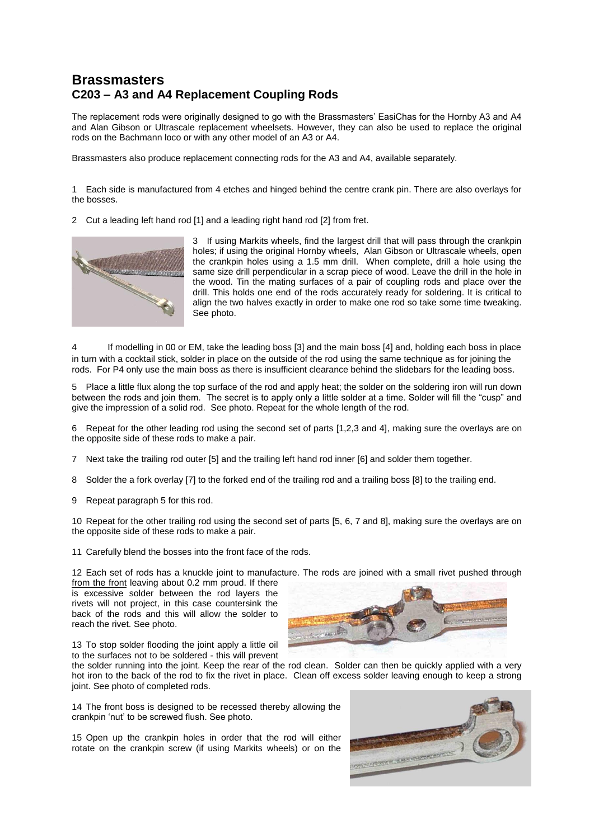## **Brassmasters C203 – A3 and A4 Replacement Coupling Rods**

The replacement rods were originally designed to go with the Brassmasters' EasiChas for the Hornby A3 and A4 and Alan Gibson or Ultrascale replacement wheelsets. However, they can also be used to replace the original rods on the Bachmann loco or with any other model of an A3 or A4.

Brassmasters also produce replacement connecting rods for the A3 and A4, available separately.

1 Each side is manufactured from 4 etches and hinged behind the centre crank pin. There are also overlays for the bosses.

2 Cut a leading left hand rod [1] and a leading right hand rod [2] from fret.



3 If using Markits wheels, find the largest drill that will pass through the crankpin holes; if using the original Hornby wheels, Alan Gibson or Ultrascale wheels, open the crankpin holes using a 1.5 mm drill. When complete, drill a hole using the same size drill perpendicular in a scrap piece of wood. Leave the drill in the hole in the wood. Tin the mating surfaces of a pair of coupling rods and place over the drill. This holds one end of the rods accurately ready for soldering. It is critical to align the two halves exactly in order to make one rod so take some time tweaking. See photo.

4 If modelling in 00 or EM, take the leading boss [3] and the main boss [4] and, holding each boss in place in turn with a cocktail stick, solder in place on the outside of the rod using the same technique as for joining the rods. For P4 only use the main boss as there is insufficient clearance behind the slidebars for the leading boss.

5 Place a little flux along the top surface of the rod and apply heat; the solder on the soldering iron will run down between the rods and join them. The secret is to apply only a little solder at a time. Solder will fill the "cusp" and give the impression of a solid rod. See photo. Repeat for the whole length of the rod.

6 Repeat for the other leading rod using the second set of parts [1,2,3 and 4], making sure the overlays are on the opposite side of these rods to make a pair.

7 Next take the trailing rod outer [5] and the trailing left hand rod inner [6] and solder them together.

8 Solder the a fork overlay [7] to the forked end of the trailing rod and a trailing boss [8] to the trailing end.

9 Repeat paragraph 5 for this rod.

10 Repeat for the other trailing rod using the second set of parts [5, 6, 7 and 8], making sure the overlays are on the opposite side of these rods to make a pair.

11 Carefully blend the bosses into the front face of the rods.

12 Each set of rods has a knuckle joint to manufacture. The rods are joined with a small rivet pushed through

from the front leaving about 0.2 mm proud. If there is excessive solder between the rod layers the rivets will not project, in this case countersink the back of the rods and this will allow the solder to reach the rivet. See photo.



13 To stop solder flooding the joint apply a little oil to the surfaces not to be soldered - this will prevent

the solder running into the joint. Keep the rear of the rod clean. Solder can then be quickly applied with a very hot iron to the back of the rod to fix the rivet in place. Clean off excess solder leaving enough to keep a strong joint. See photo of completed rods.

14 The front boss is designed to be recessed thereby allowing the crankpin 'nut' to be screwed flush. See photo.

15 Open up the crankpin holes in order that the rod will either rotate on the crankpin screw (if using Markits wheels) or on the